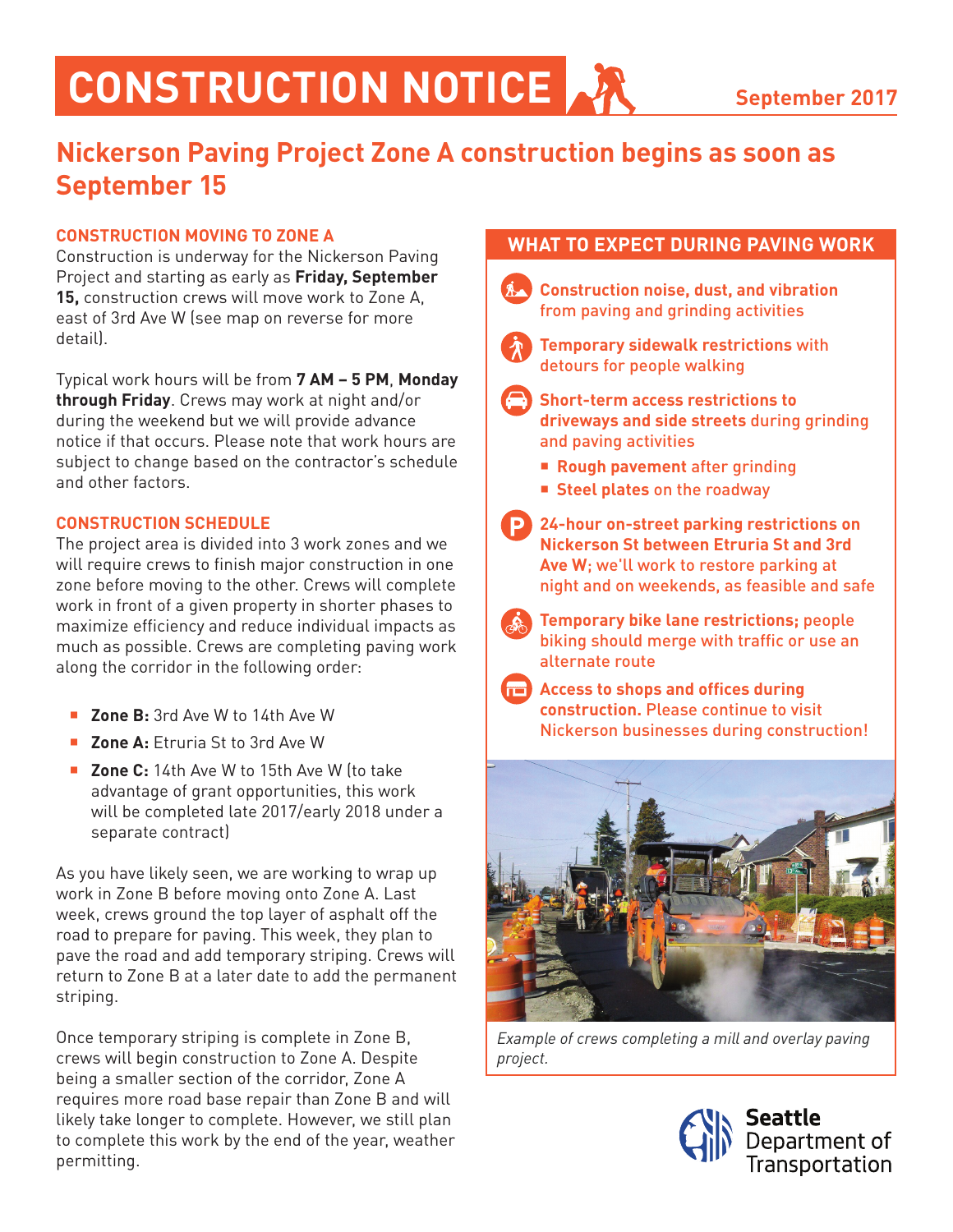## **CONSTRUCTION NOTICE**

### **Nickerson Paving Project Zone A construction begins as soon as September 15**

#### **CONSTRUCTION MOVING TO ZONE A**

Construction is underway for the Nickerson Paving Project and starting as early as **Friday, September 15,** construction crews will move work to Zone A, east of 3rd Ave W (see map on reverse for more detail).

Typical work hours will be from **7 AM – 5 PM**, **Monday through Friday**. Crews may work at night and/or during the weekend but we will provide advance notice if that occurs. Please note that work hours are subject to change based on the contractor's schedule and other factors.

#### **CONSTRUCTION SCHEDULE**

The project area is divided into 3 work zones and we will require crews to finish major construction in one zone before moving to the other. Crews will complete work in front of a given property in shorter phases to maximize efficiency and reduce individual impacts as much as possible. Crews are completing paving work along the corridor in the following order:

- **Zone B:** 3rd Ave W to 14th Ave W
- **Zone A:** Ftruria St to 3rd Ave W
- **Zone C:** 14th Ave W to 15th Ave W Ito take advantage of grant opportunities, this work will be completed late 2017/early 2018 under a separate contract)

As you have likely seen, we are working to wrap up work in Zone B before moving onto Zone A. Last week, crews ground the top layer of asphalt off the road to prepare for paving. This week, they plan to pave the road and add temporary striping. Crews will return to Zone B at a later date to add the permanent striping.

Once temporary striping is complete in Zone B, crews will begin construction to Zone A. Despite being a smaller section of the corridor, Zone A requires more road base repair than Zone B and will likely take longer to complete. However, we still plan to complete this work by the end of the year, weather permitting.

#### **WHAT TO EXPECT DURING PAVING WORK**

 **Construction noise, dust, and vibration** from paving and grinding activities



- **Temporary sidewalk restrictions** with detours for people walking
- **Short-term access restrictions to driveways and side streets** during grinding and paving activities
	- **Rough pavement** after grinding
	- **Steel plates** on the roadway
- **24-hour on-street parking restrictions on Nickerson St between Etruria St and 3rd Ave W**; we'll work to restore parking at night and on weekends, as feasible and safe
	- **Temporary bike lane restrictions;** people biking should merge with traffic or use an alternate route
	- **Access to shops and offices during**





*Example of crews completing a mill and overlay paving project.*